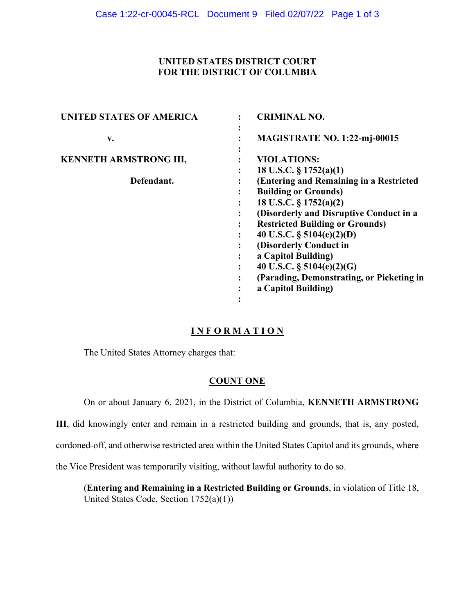## **UNITED STATES DISTRICT COURT FOR THE DISTRICT OF COLUMBIA**

| <b>UNITED STATES OF AMERICA</b> | <b>CRIMINAL NO.</b>                                    |
|---------------------------------|--------------------------------------------------------|
| v.                              | $\bullet$<br><b>MAGISTRATE NO. 1:22-mj-00015</b>       |
| <b>KENNETH ARMSTRONG III,</b>   | <b>VIOLATIONS:</b>                                     |
|                                 | 18 U.S.C. $\S 1752(a)(1)$<br>٠                         |
| Defendant.                      | (Entering and Remaining in a Restricted                |
|                                 | <b>Building or Grounds)</b><br>٠                       |
|                                 | 18 U.S.C. $\S 1752(a)(2)$                              |
|                                 | (Disorderly and Disruptive Conduct in a<br>٠           |
|                                 | <b>Restricted Building or Grounds)</b><br>$\bullet$    |
|                                 | 40 U.S.C. $\S$ 5104(e)(2)(D)<br>$\bullet$              |
|                                 | (Disorderly Conduct in                                 |
|                                 | a Capitol Building)                                    |
|                                 | 40 U.S.C. $\S$ 5104(e)(2)(G)<br>$\bullet$              |
|                                 | (Parading, Demonstrating, or Picketing in<br>$\bullet$ |
|                                 | a Capitol Building)<br>٠                               |
|                                 | ٠<br>$\bullet$                                         |

# **I N F O R M A T I O N**

The United States Attorney charges that:

# **COUNT ONE**

On or about January 6, 2021, in the District of Columbia, **KENNETH ARMSTRONG** 

**III**, did knowingly enter and remain in a restricted building and grounds, that is, any posted,

cordoned-off, and otherwise restricted area within the United States Capitol and its grounds, where

the Vice President was temporarily visiting, without lawful authority to do so.

(**Entering and Remaining in a Restricted Building or Grounds**, in violation of Title 18, United States Code, Section 1752(a)(1))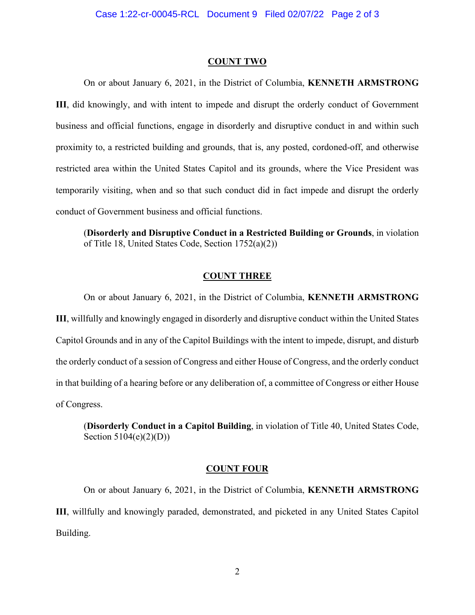#### **COUNT TWO**

On or about January 6, 2021, in the District of Columbia, **KENNETH ARMSTRONG III**, did knowingly, and with intent to impede and disrupt the orderly conduct of Government business and official functions, engage in disorderly and disruptive conduct in and within such proximity to, a restricted building and grounds, that is, any posted, cordoned-off, and otherwise restricted area within the United States Capitol and its grounds, where the Vice President was temporarily visiting, when and so that such conduct did in fact impede and disrupt the orderly conduct of Government business and official functions.

(**Disorderly and Disruptive Conduct in a Restricted Building or Grounds**, in violation of Title 18, United States Code, Section 1752(a)(2))

### **COUNT THREE**

On or about January 6, 2021, in the District of Columbia, **KENNETH ARMSTRONG III**, willfully and knowingly engaged in disorderly and disruptive conduct within the United States Capitol Grounds and in any of the Capitol Buildings with the intent to impede, disrupt, and disturb the orderly conduct of a session of Congress and either House of Congress, and the orderly conduct in that building of a hearing before or any deliberation of, a committee of Congress or either House of Congress.

(**Disorderly Conduct in a Capitol Building**, in violation of Title 40, United States Code, Section 5104(e)(2)(D))

### **COUNT FOUR**

On or about January 6, 2021, in the District of Columbia, **KENNETH ARMSTRONG III**, willfully and knowingly paraded, demonstrated, and picketed in any United States Capitol Building.